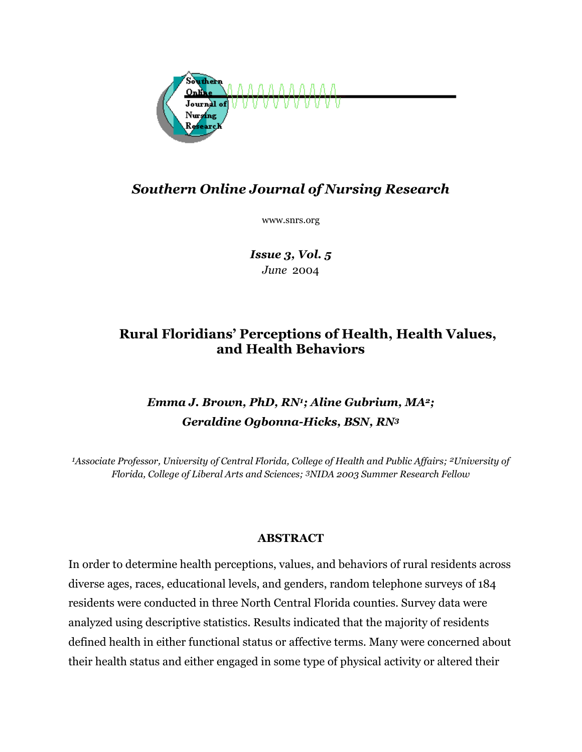

## *Southern Online Journal of Nursing Research*

www.snrs.org

*Issue 3, Vol. 5 June* 2004

## **Rural Floridians' Perceptions of Health, Health Values, and Health Behaviors**

# *Emma J. Brown, PhD, RN1; Aline Gubrium, MA2; Geraldine Ogbonna-Hicks, BSN, RN3*

*1Associate Professor, University of Central Florida, College of Health and Public Affairs; 2University of Florida, College of Liberal Arts and Sciences; 3NIDA 2003 Summer Research Fellow* 

### **ABSTRACT**

In order to determine health perceptions, values, and behaviors of rural residents across diverse ages, races, educational levels, and genders, random telephone surveys of 184 residents were conducted in three North Central Florida counties. Survey data were analyzed using descriptive statistics. Results indicated that the majority of residents defined health in either functional status or affective terms. Many were concerned about their health status and either engaged in some type of physical activity or altered their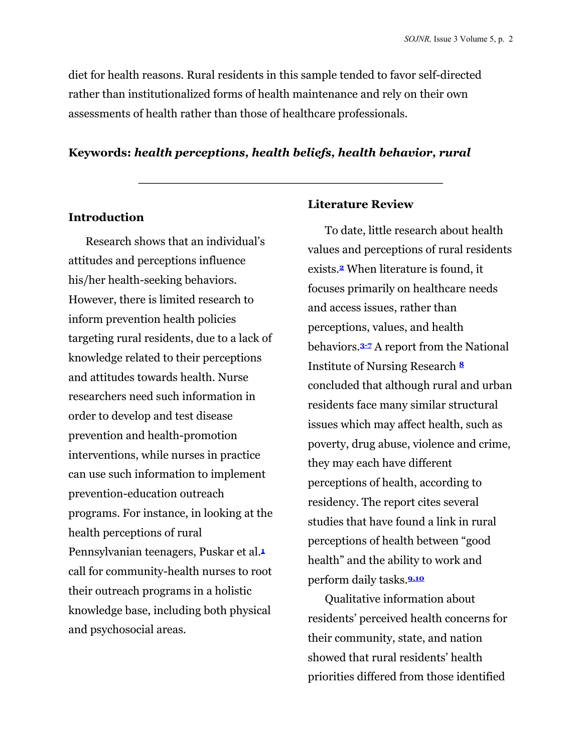diet for health reasons. Rural residents in this sample tended to favor self-directed rather than institutionalized forms of health maintenance and rely on their own assessments of health rather than those of healthcare professionals.

#### **Keywords:** *health perceptions, health beliefs, health behavior, rural*

**\_\_\_\_\_\_\_\_\_\_\_\_\_\_\_\_\_\_\_\_\_\_\_\_\_\_\_\_\_\_\_\_\_\_\_\_\_\_** 

#### **Introduction**

Research shows that an individual's attitudes and perceptions influence his/her health-seeking behaviors. However, there is limited research to inform prevention health policies targeting rural residents, due to a lack of knowledge related to their perceptions and attitudes towards health. Nurse researchers need such information in order to develop and test disease prevention and health-promotion interventions, while nurses in practice can use such information to implement prevention-education outreach programs. For instance, in looking at the health perceptions of rural Pennsylvanian teenagers, Puskar et al.**<sup>1</sup>** call for community-health nurses to root their outreach programs in a holistic knowledge base, including both physical and psychosocial areas.

#### **Literature Review**

To date, little research about health values and perceptions of rural residents exists.**2** When literature is found, it focuses primarily on healthcare needs and access issues, rather than perceptions, values, and health behaviors.**3-7** A report from the National Institute of Nursing Research **<sup>8</sup>** concluded that although rural and urban residents face many similar structural issues which may affect health, such as poverty, drug abuse, violence and crime, they may each have different perceptions of health, according to residency. The report cites several studies that have found a link in rural perceptions of health between "good health" and the ability to work and perform daily tasks.**9,10**

Qualitative information about residents' perceived health concerns for their community, state, and nation showed that rural residents' health priorities differed from those identified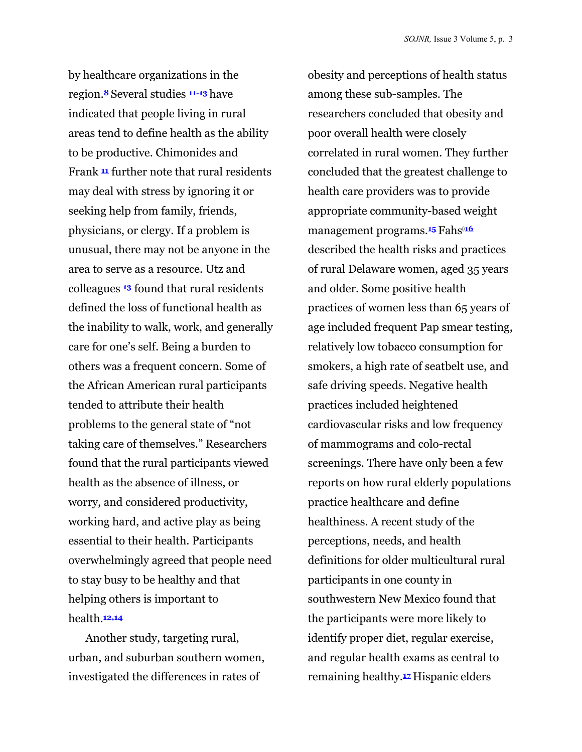by healthcare organizations in the region.**<sup>8</sup>** Several studies **11-13** have indicated that people living in rural areas tend to define health as the ability to be productive. Chimonides and Frank **<sup>11</sup>** further note that rural residents may deal with stress by ignoring it or seeking help from family, friends, physicians, or clergy. If a problem is unusual, there may not be anyone in the area to serve as a resource. Utz and colleagues **<sup>13</sup>** found that rural residents defined the loss of functional health as the inability to walk, work, and generally care for one's self. Being a burden to others was a frequent concern. Some of the African American rural participants tended to attribute their health problems to the general state of "not taking care of themselves." Researchers found that the rural participants viewed health as the absence of illness, or worry, and considered productivity, working hard, and active play as being essential to their health. Participants overwhelmingly agreed that people need to stay busy to be healthy and that helping others is important to health.**12,14**

Another study, targeting rural, urban, and suburban southern women, investigated the differences in rates of

obesity and perceptions of health status among these sub-samples. The researchers concluded that obesity and poor overall health were closely correlated in rural women. They further concluded that the greatest challenge to health care providers was to provide appropriate community-based weight management programs.**<sup>15</sup>** Fahs0**<sup>16</sup>** described the health risks and practices of rural Delaware women, aged 35 years and older. Some positive health practices of women less than 65 years of age included frequent Pap smear testing, relatively low tobacco consumption for smokers, a high rate of seatbelt use, and safe driving speeds. Negative health practices included heightened cardiovascular risks and low frequency of mammograms and colo-rectal screenings. There have only been a few reports on how rural elderly populations practice healthcare and define healthiness. A recent study of the perceptions, needs, and health definitions for older multicultural rural participants in one county in southwestern New Mexico found that the participants were more likely to identify proper diet, regular exercise, and regular health exams as central to remaining healthy.**<sup>17</sup>** Hispanic elders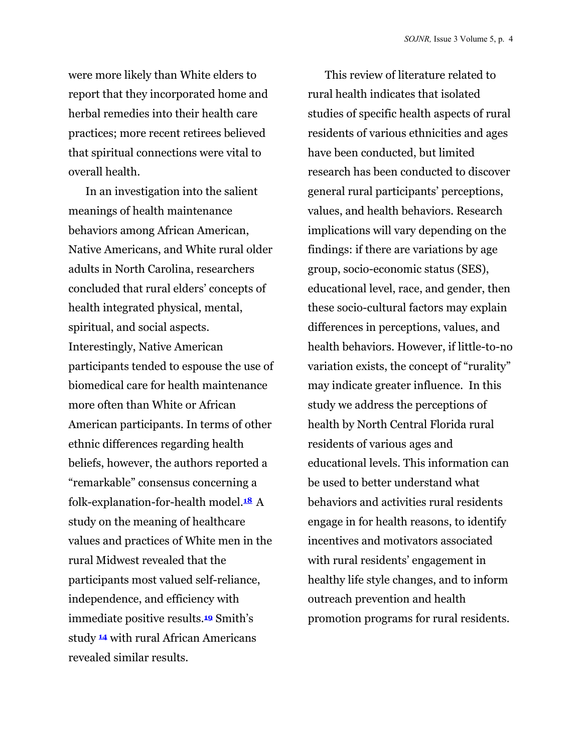were more likely than White elders to report that they incorporated home and herbal remedies into their health care practices; more recent retirees believed that spiritual connections were vital to overall health.

In an investigation into the salient meanings of health maintenance behaviors among African American, Native Americans, and White rural older adults in North Carolina, researchers concluded that rural elders' concepts of health integrated physical, mental, spiritual, and social aspects. Interestingly, Native American participants tended to espouse the use of biomedical care for health maintenance more often than White or African American participants. In terms of other ethnic differences regarding health beliefs, however, the authors reported a "remarkable" consensus concerning a folk-explanation-for-health model.**18** A study on the meaning of healthcare values and practices of White men in the rural Midwest revealed that the participants most valued self-reliance, independence, and efficiency with immediate positive results.**19** Smith's study **<sup>14</sup>** with rural African Americans revealed similar results.

This review of literature related to rural health indicates that isolated studies of specific health aspects of rural residents of various ethnicities and ages have been conducted, but limited research has been conducted to discover general rural participants' perceptions, values, and health behaviors. Research implications will vary depending on the findings: if there are variations by age group, socio-economic status (SES), educational level, race, and gender, then these socio-cultural factors may explain differences in perceptions, values, and health behaviors. However, if little-to-no variation exists, the concept of "rurality" may indicate greater influence. In this study we address the perceptions of health by North Central Florida rural residents of various ages and educational levels. This information can be used to better understand what behaviors and activities rural residents engage in for health reasons, to identify incentives and motivators associated with rural residents' engagement in healthy life style changes, and to inform outreach prevention and health promotion programs for rural residents.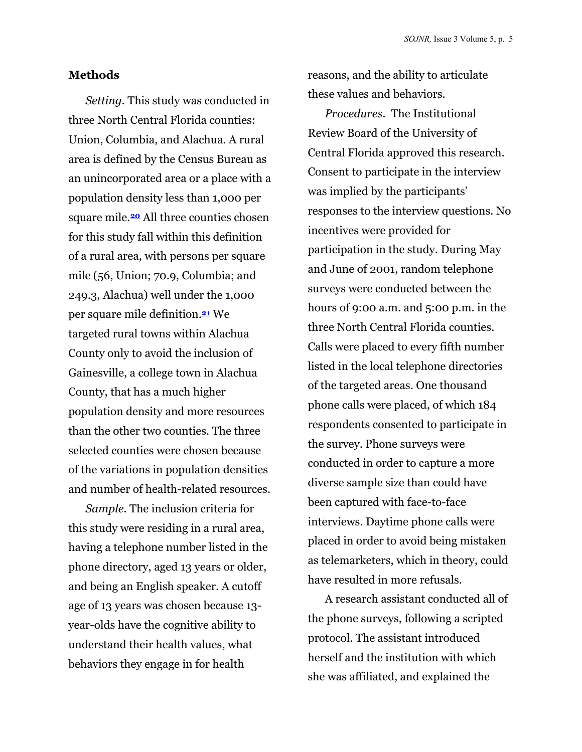#### **Methods**

*Setting.* This study was conducted in three North Central Florida counties: Union, Columbia, and Alachua. A rural area is defined by the Census Bureau as an unincorporated area or a place with a population density less than 1,000 per square mile.**20** All three counties chosen for this study fall within this definition of a rural area, with persons per square mile (56, Union; 70.9, Columbia; and 249.3, Alachua) well under the 1,000 per square mile definition.**21** We targeted rural towns within Alachua County only to avoid the inclusion of Gainesville, a college town in Alachua County, that has a much higher population density and more resources than the other two counties. The three selected counties were chosen because of the variations in population densities and number of health-related resources.

*Sample.* The inclusion criteria for this study were residing in a rural area, having a telephone number listed in the phone directory, aged 13 years or older, and being an English speaker. A cutoff age of 13 years was chosen because 13 year-olds have the cognitive ability to understand their health values, what behaviors they engage in for health

reasons, and the ability to articulate these values and behaviors.

*Procedures.* The Institutional Review Board of the University of Central Florida approved this research. Consent to participate in the interview was implied by the participants' responses to the interview questions. No incentives were provided for participation in the study. During May and June of 2001, random telephone surveys were conducted between the hours of 9:00 a.m. and 5:00 p.m. in the three North Central Florida counties. Calls were placed to every fifth number listed in the local telephone directories of the targeted areas. One thousand phone calls were placed, of which 184 respondents consented to participate in the survey. Phone surveys were conducted in order to capture a more diverse sample size than could have been captured with face-to-face interviews. Daytime phone calls were placed in order to avoid being mistaken as telemarketers, which in theory, could have resulted in more refusals.

A research assistant conducted all of the phone surveys, following a scripted protocol. The assistant introduced herself and the institution with which she was affiliated, and explained the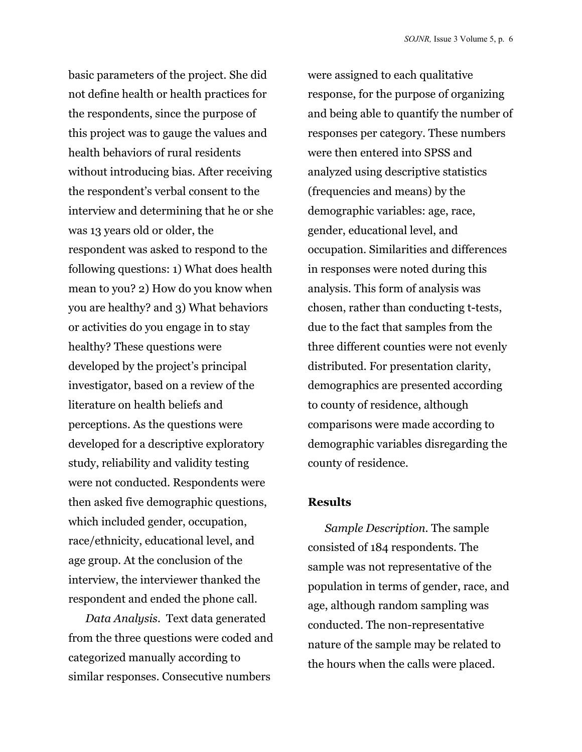basic parameters of the project. She did not define health or health practices for the respondents, since the purpose of this project was to gauge the values and health behaviors of rural residents without introducing bias. After receiving the respondent's verbal consent to the interview and determining that he or she was 13 years old or older, the respondent was asked to respond to the following questions: 1) What does health mean to you? 2) How do you know when you are healthy? and 3) What behaviors or activities do you engage in to stay healthy? These questions were developed by the project's principal investigator, based on a review of the literature on health beliefs and perceptions. As the questions were developed for a descriptive exploratory study, reliability and validity testing were not conducted. Respondents were then asked five demographic questions, which included gender, occupation, race/ethnicity, educational level, and age group. At the conclusion of the interview, the interviewer thanked the respondent and ended the phone call.

*Data Analysis.* Text data generated from the three questions were coded and categorized manually according to similar responses. Consecutive numbers

were assigned to each qualitative response, for the purpose of organizing and being able to quantify the number of responses per category. These numbers were then entered into SPSS and analyzed using descriptive statistics (frequencies and means) by the demographic variables: age, race, gender, educational level, and occupation. Similarities and differences in responses were noted during this analysis. This form of analysis was chosen, rather than conducting t-tests, due to the fact that samples from the three different counties were not evenly distributed. For presentation clarity, demographics are presented according to county of residence, although comparisons were made according to demographic variables disregarding the county of residence.

#### **Results**

*Sample Description.* The sample consisted of 184 respondents. The sample was not representative of the population in terms of gender, race, and age, although random sampling was conducted. The non-representative nature of the sample may be related to the hours when the calls were placed.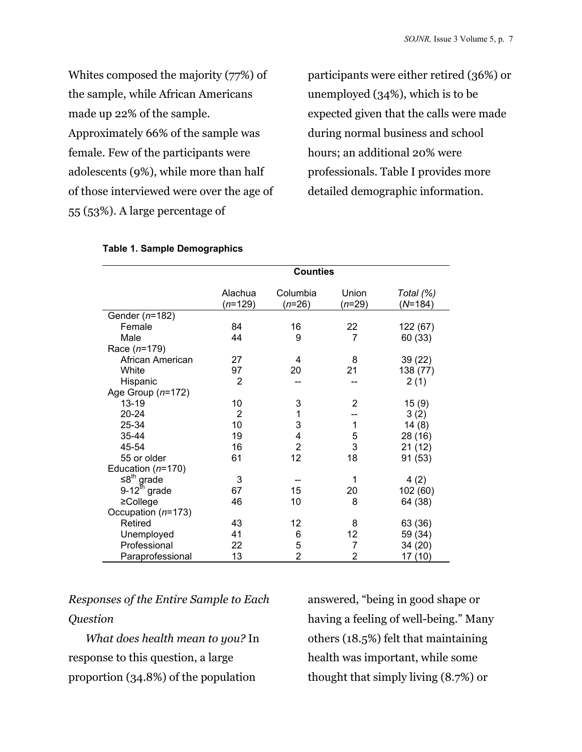Whites composed the majority (77%) of the sample, while African Americans made up 22% of the sample. Approximately 66% of the sample was female. Few of the participants were adolescents (9%), while more than half of those interviewed were over the age of 55 (53%). A large percentage of

participants were either retired (36%) or unemployed (34%), which is to be expected given that the calls were made during normal business and school hours; an additional 20% were professionals. Table I provides more detailed demographic information.

|                          | <b>Counties</b>      |                      |                   |                        |
|--------------------------|----------------------|----------------------|-------------------|------------------------|
|                          | Alachua<br>$(n=129)$ | Columbia<br>$(n=26)$ | Union<br>$(n=29)$ | Total (%)<br>$(N=184)$ |
| Gender (n=182)           |                      |                      |                   |                        |
| Female                   | 84                   | 16                   | 22                | 122 (67)               |
| Male                     | 44                   | 9                    | $\overline{7}$    | 60 (33)                |
| Race $(n=179)$           |                      |                      |                   |                        |
| African American         | 27                   | 4                    | 8                 | 39 (22)                |
| White                    | 97                   | 20                   | 21                | 138 (77)               |
| Hispanic                 | $\overline{2}$       |                      |                   | 2(1)                   |
| Age Group $(n=172)$      |                      |                      |                   |                        |
| 13-19                    | 10                   | 3                    | $\overline{2}$    | 15(9)                  |
| $20 - 24$                | 2                    | 1                    |                   | 3(2)                   |
| 25-34                    | 10                   | 3                    | 1                 | 14(8)                  |
| 35-44                    | 19                   | 4                    | 5                 | 28 (16)                |
| 45-54                    | 16                   | $\overline{2}$       | 3                 | 21(12)                 |
| 55 or older              | 61                   | 12                   | 18                | 91 (53)                |
| Education $(n=170)$      |                      |                      |                   |                        |
| $\leq8^{th}$ grade       | 3                    |                      | 1                 | 4(2)                   |
| $9-12^{\text{th}}$ grade | 67                   | 15                   | 20                | 102 (60)               |
| $\geq$ College           | 46                   | 10                   | 8                 | 64 (38)                |
| Occupation (n=173)       |                      |                      |                   |                        |
| Retired                  | 43                   | 12                   | 8                 | 63 (36)                |
| Unemployed               | 41                   | 6                    | 12                | 59 (34)                |
| Professional             | 22                   | 5                    | 7                 | 34 (20)                |
| Paraprofessional         | 13                   | 2                    | 2                 | 17 (10)                |

#### **Table 1. Sample Demographics**

# *Responses of the Entire Sample to Each Question*

*What does health mean to you?* In response to this question, a large proportion (34.8%) of the population

answered, "being in good shape or having a feeling of well-being." Many others (18.5%) felt that maintaining health was important, while some thought that simply living (8.7%) or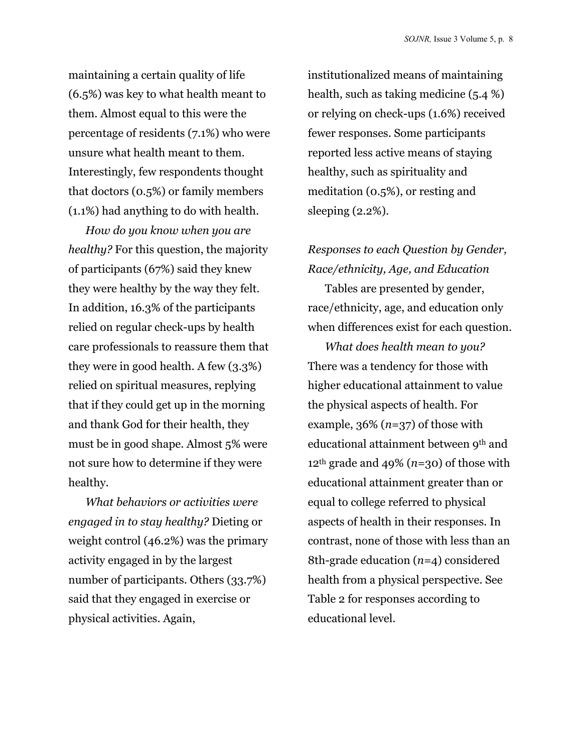maintaining a certain quality of life (6.5%) was key to what health meant to them. Almost equal to this were the percentage of residents (7.1%) who were unsure what health meant to them. Interestingly, few respondents thought that doctors (0.5%) or family members (1.1%) had anything to do with health.

*How do you know when you are healthy?* For this question, the majority of participants (67%) said they knew they were healthy by the way they felt. In addition, 16.3% of the participants relied on regular check-ups by health care professionals to reassure them that they were in good health. A few (3.3%) relied on spiritual measures, replying that if they could get up in the morning and thank God for their health, they must be in good shape. Almost 5% were not sure how to determine if they were healthy.

*What behaviors or activities were engaged in to stay healthy?* Dieting or weight control (46.2%) was the primary activity engaged in by the largest number of participants. Others (33.7%) said that they engaged in exercise or physical activities. Again,

institutionalized means of maintaining health, such as taking medicine (5.4 %) or relying on check-ups (1.6%) received fewer responses. Some participants reported less active means of staying healthy, such as spirituality and meditation (0.5%), or resting and sleeping (2.2%).

### *Responses to each Question by Gender, Race/ethnicity, Age, and Education*

Tables are presented by gender, race/ethnicity, age, and education only when differences exist for each question.

*What does health mean to you?* There was a tendency for those with higher educational attainment to value the physical aspects of health. For example, 36% (*n*=37) of those with educational attainment between 9th and 12<sup>th</sup> grade and 49% ( $n=30$ ) of those with educational attainment greater than or equal to college referred to physical aspects of health in their responses. In contrast, none of those with less than an 8th-grade education (*n*=4) considered health from a physical perspective. See Table 2 for responses according to educational level.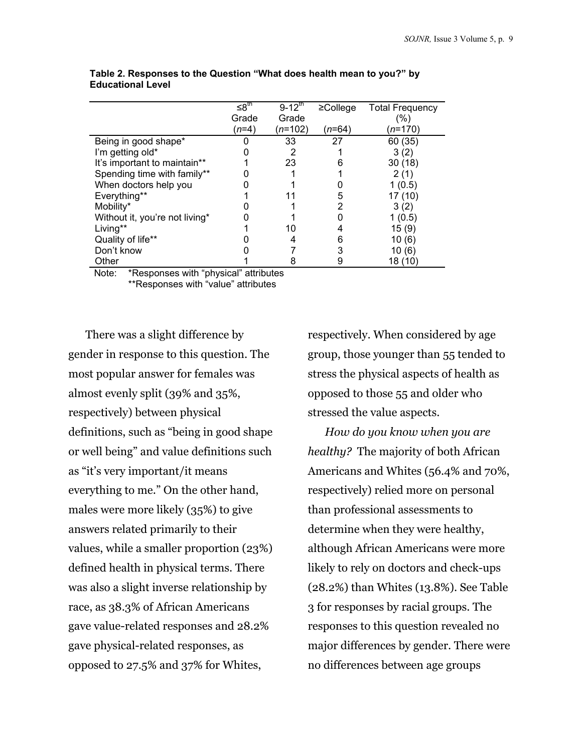|                                | ≤8 <sup>th</sup> | $9 - 12^{th}$ | $\geq$ College | <b>Total Frequency</b> |
|--------------------------------|------------------|---------------|----------------|------------------------|
|                                | Grade            | Grade         |                | (%)                    |
|                                | $(n=4)$          | $(n=102)$     | (n=64)         | <i>(n</i> =170         |
| Being in good shape*           |                  | 33            | 27             | 60 (35)                |
| I'm getting old*               |                  |               |                | 3(2)                   |
| It's important to maintain**   |                  | 23            | 6              | 30(18)                 |
| Spending time with family**    |                  |               |                | 2(1)                   |
| When doctors help you          |                  |               |                | 1 (0.5)                |
| Everything**                   |                  |               | 5              | 17 (10)                |
| Mobility*                      |                  |               | 2              | 3(2)                   |
| Without it, you're not living* |                  |               |                | 1(0.5)                 |
| Living**                       |                  | 10            |                | 15(9)                  |
| Quality of life**              |                  |               | 6              | 10(6)                  |
| Don't know                     |                  |               | 3              | 10 (6)                 |
| Other                          |                  |               |                | 18 (10)                |

**Table 2. Responses to the Question "What does health mean to you?" by Educational Level** 

Note: \*Responses with "physical" attributes \*\*Responses with "value" attributes

There was a slight difference by gender in response to this question. The most popular answer for females was almost evenly split (39% and 35%, respectively) between physical definitions, such as "being in good shape or well being" and value definitions such as "it's very important/it means everything to me." On the other hand, males were more likely (35%) to give answers related primarily to their values, while a smaller proportion (23%) defined health in physical terms. There was also a slight inverse relationship by race, as 38.3% of African Americans gave value-related responses and 28.2% gave physical-related responses, as opposed to 27.5% and 37% for Whites,

respectively. When considered by age group, those younger than 55 tended to stress the physical aspects of health as opposed to those 55 and older who stressed the value aspects.

*How do you know when you are healthy?* The majority of both African Americans and Whites (56.4% and 70%, respectively) relied more on personal than professional assessments to determine when they were healthy, although African Americans were more likely to rely on doctors and check-ups (28.2%) than Whites (13.8%). See Table 3 for responses by racial groups. The responses to this question revealed no major differences by gender. There were no differences between age groups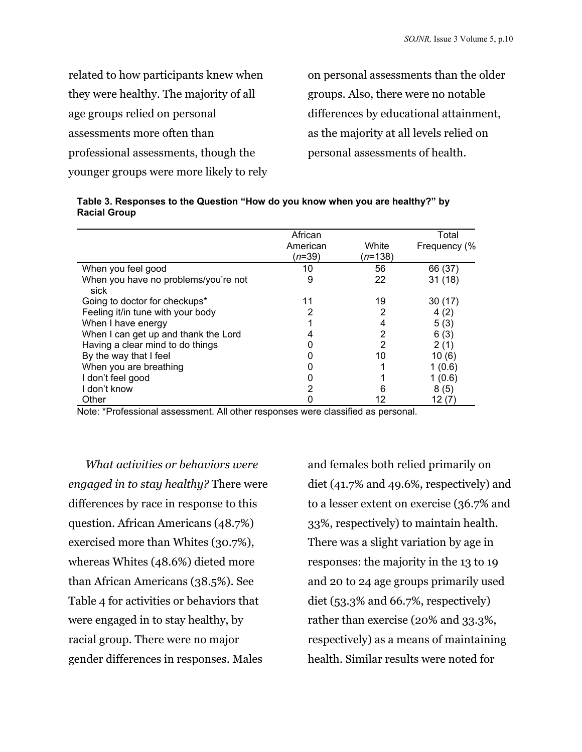related to how participants knew when they were healthy. The majority of all age groups relied on personal assessments more often than professional assessments, though the younger groups were more likely to rely

on personal assessments than the older groups. Also, there were no notable differences by educational attainment, as the majority at all levels relied on personal assessments of health.

| Table 3. Responses to the Question "How do you know when you are healthy?" by |  |
|-------------------------------------------------------------------------------|--|
| <b>Racial Group</b>                                                           |  |

|                                              | African  |                  | Total        |
|----------------------------------------------|----------|------------------|--------------|
|                                              | American | White            | Frequency (% |
|                                              | (n=39)   | ( <i>n</i> =138) |              |
| When you feel good                           | 10       | 56               | 66 (37)      |
| When you have no problems/you're not<br>sick | 9        | 22               | 31(18)       |
| Going to doctor for checkups*                | 11       | 19               | 30(17)       |
| Feeling it/in tune with your body            |          |                  | 4(2)         |
| When I have energy                           |          | 4                | 5(3)         |
| When I can get up and thank the Lord         |          |                  | 6(3)         |
| Having a clear mind to do things             |          | 2                | 2(1)         |
| By the way that I feel                       |          | 10               | 10(6)        |
| When you are breathing                       |          |                  | 1(0.6)       |
| I don't feel good                            |          |                  | 1(0.6)       |
| I don't know                                 | 2        |                  | 8(5)         |
| Other                                        |          | 12               | 12 (7)       |

Note: \*Professional assessment. All other responses were classified as personal.

*What activities or behaviors were engaged in to stay healthy?* There were differences by race in response to this question. African Americans (48.7%) exercised more than Whites (30.7%), whereas Whites (48.6%) dieted more than African Americans (38.5%). See Table 4 for activities or behaviors that were engaged in to stay healthy, by racial group. There were no major gender differences in responses. Males

and females both relied primarily on diet (41.7% and 49.6%, respectively) and to a lesser extent on exercise (36.7% and 33%, respectively) to maintain health. There was a slight variation by age in responses: the majority in the 13 to 19 and 20 to 24 age groups primarily used diet (53.3% and 66.7%, respectively) rather than exercise (20% and 33.3%, respectively) as a means of maintaining health. Similar results were noted for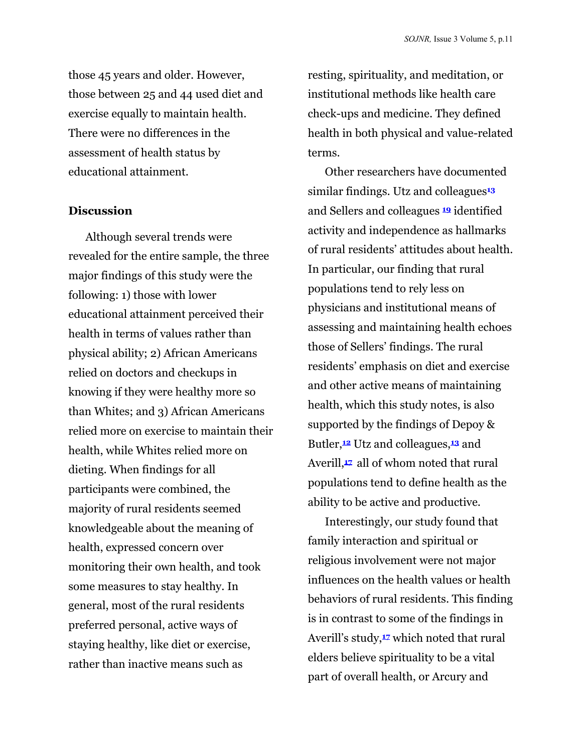those 45 years and older. However, those between 25 and 44 used diet and exercise equally to maintain health. There were no differences in the assessment of health status by educational attainment.

#### **Discussion**

Although several trends were revealed for the entire sample, the three major findings of this study were the following: 1) those with lower educational attainment perceived their health in terms of values rather than physical ability; 2) African Americans relied on doctors and checkups in knowing if they were healthy more so than Whites; and 3) African Americans relied more on exercise to maintain their health, while Whites relied more on dieting. When findings for all participants were combined, the majority of rural residents seemed knowledgeable about the meaning of health, expressed concern over monitoring their own health, and took some measures to stay healthy. In general, most of the rural residents preferred personal, active ways of staying healthy, like diet or exercise, rather than inactive means such as

resting, spirituality, and meditation, or institutional methods like health care check-ups and medicine. They defined health in both physical and value-related terms.

Other researchers have documented similar findings. Utz and colleagues**<sup>13</sup>** and Sellers and colleagues **<sup>19</sup>** identified activity and independence as hallmarks of rural residents' attitudes about health. In particular, our finding that rural populations tend to rely less on physicians and institutional means of assessing and maintaining health echoes those of Sellers' findings. The rural residents' emphasis on diet and exercise and other active means of maintaining health, which this study notes, is also supported by the findings of Depoy & Butler,**12** Utz and colleagues,**13** and Averill,**17** all of whom noted that rural populations tend to define health as the ability to be active and productive.

Interestingly, our study found that family interaction and spiritual or religious involvement were not major influences on the health values or health behaviors of rural residents. This finding is in contrast to some of the findings in Averill's study,**17** which noted that rural elders believe spirituality to be a vital part of overall health, or Arcury and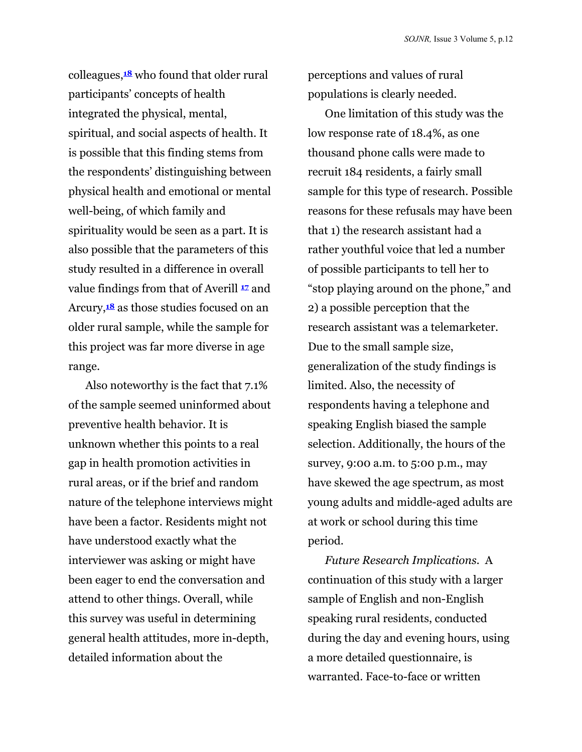colleagues,**18** who found that older rural participants' concepts of health integrated the physical, mental, spiritual, and social aspects of health. It is possible that this finding stems from the respondents' distinguishing between physical health and emotional or mental well-being, of which family and spirituality would be seen as a part. It is also possible that the parameters of this study resulted in a difference in overall value findings from that of Averill **<sup>17</sup>** and Arcury,**18** as those studies focused on an older rural sample, while the sample for this project was far more diverse in age range.

Also noteworthy is the fact that 7.1% of the sample seemed uninformed about preventive health behavior. It is unknown whether this points to a real gap in health promotion activities in rural areas, or if the brief and random nature of the telephone interviews might have been a factor. Residents might not have understood exactly what the interviewer was asking or might have been eager to end the conversation and attend to other things. Overall, while this survey was useful in determining general health attitudes, more in-depth, detailed information about the

perceptions and values of rural populations is clearly needed.

One limitation of this study was the low response rate of 18.4%, as one thousand phone calls were made to recruit 184 residents, a fairly small sample for this type of research. Possible reasons for these refusals may have been that 1) the research assistant had a rather youthful voice that led a number of possible participants to tell her to "stop playing around on the phone," and 2) a possible perception that the research assistant was a telemarketer. Due to the small sample size, generalization of the study findings is limited. Also, the necessity of respondents having a telephone and speaking English biased the sample selection. Additionally, the hours of the survey, 9:00 a.m. to 5:00 p.m., may have skewed the age spectrum, as most young adults and middle-aged adults are at work or school during this time period.

*Future Research Implications.* A continuation of this study with a larger sample of English and non-English speaking rural residents, conducted during the day and evening hours, using a more detailed questionnaire, is warranted. Face-to-face or written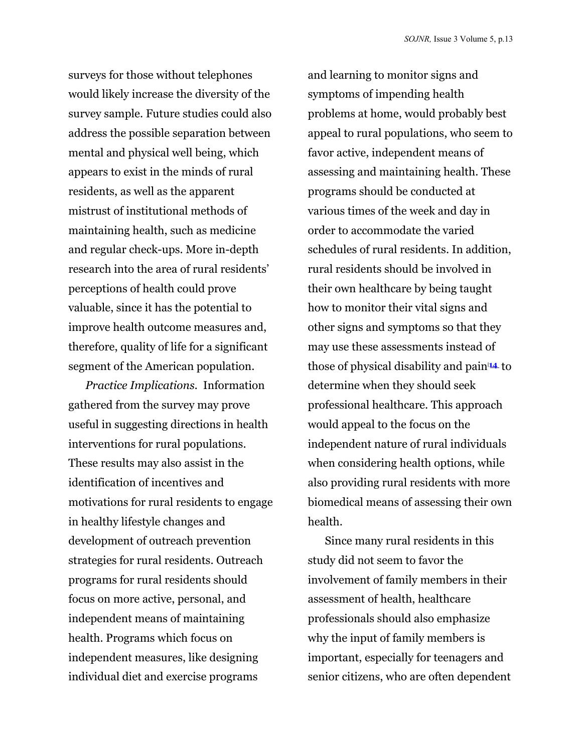surveys for those without telephones would likely increase the diversity of the survey sample. Future studies could also address the possible separation between mental and physical well being, which appears to exist in the minds of rural residents, as well as the apparent mistrust of institutional methods of maintaining health, such as medicine and regular check-ups. More in-depth research into the area of rural residents' perceptions of health could prove valuable, since it has the potential to improve health outcome measures and, therefore, quality of life for a significant segment of the American population.

*Practice Implications.* Information gathered from the survey may prove useful in suggesting directions in health interventions for rural populations. These results may also assist in the identification of incentives and motivations for rural residents to engage in healthy lifestyle changes and development of outreach prevention strategies for rural residents. Outreach programs for rural residents should focus on more active, personal, and independent means of maintaining health. Programs which focus on independent measures, like designing individual diet and exercise programs

and learning to monitor signs and symptoms of impending health problems at home, would probably best appeal to rural populations, who seem to favor active, independent means of assessing and maintaining health. These programs should be conducted at various times of the week and day in order to accommodate the varied schedules of rural residents. In addition, rural residents should be involved in their own healthcare by being taught how to monitor their vital signs and other signs and symptoms so that they may use these assessments instead of those of physical disability and pain0**<sup>14</sup>** to determine when they should seek professional healthcare. This approach would appeal to the focus on the independent nature of rural individuals when considering health options, while also providing rural residents with more biomedical means of assessing their own health.

Since many rural residents in this study did not seem to favor the involvement of family members in their assessment of health, healthcare professionals should also emphasize why the input of family members is important, especially for teenagers and senior citizens, who are often dependent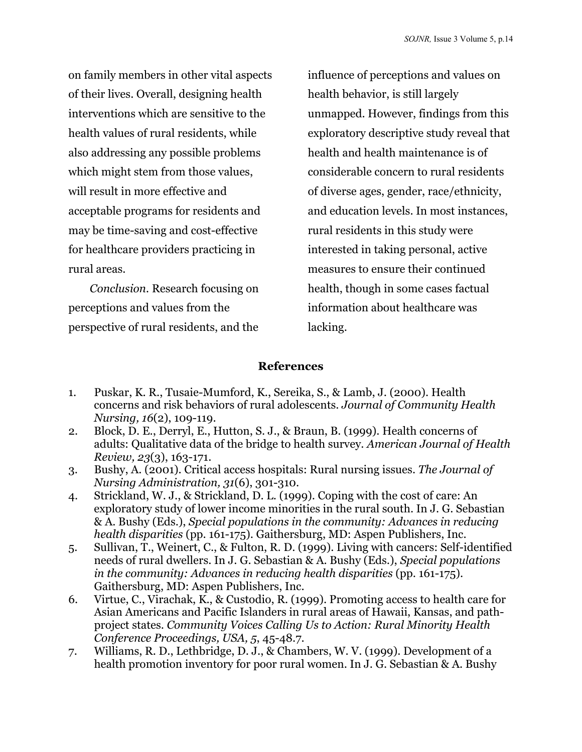on family members in other vital aspects of their lives. Overall, designing health interventions which are sensitive to the health values of rural residents, while also addressing any possible problems which might stem from those values, will result in more effective and acceptable programs for residents and may be time-saving and cost-effective for healthcare providers practicing in rural areas.

*Conclusion.* Research focusing on perceptions and values from the perspective of rural residents, and the

influence of perceptions and values on health behavior, is still largely unmapped. However, findings from this exploratory descriptive study reveal that health and health maintenance is of considerable concern to rural residents of diverse ages, gender, race/ethnicity, and education levels. In most instances, rural residents in this study were interested in taking personal, active measures to ensure their continued health, though in some cases factual information about healthcare was lacking.

### **References**

- 1. Puskar, K. R., Tusaie-Mumford, K., Sereika, S., & Lamb, J. (2000). Health concerns and risk behaviors of rural adolescents. *Journal of Community Health Nursing, 16*(2), 109-119.
- 2. Block, D. E., Derryl, E., Hutton, S. J., & Braun, B. (1999). Health concerns of adults: Qualitative data of the bridge to health survey. *American Journal of Health Review, 23*(3), 163-171.
- 3. Bushy, A. (2001). Critical access hospitals: Rural nursing issues. *The Journal of Nursing Administration, 31*(6), 301-310.
- 4. Strickland, W. J., & Strickland, D. L. (1999). Coping with the cost of care: An exploratory study of lower income minorities in the rural south. In J. G. Sebastian & A. Bushy (Eds.), *Special populations in the community: Advances in reducing health disparities* (pp. 161-175). Gaithersburg, MD: Aspen Publishers, Inc.
- 5. Sullivan, T., Weinert, C., & Fulton, R. D. (1999). Living with cancers: Self-identified needs of rural dwellers. In J. G. Sebastian & A. Bushy (Eds.), *Special populations in the community: Advances in reducing health disparities (pp. 161-175).* Gaithersburg, MD: Aspen Publishers, Inc.
- 6. Virtue, C., Virachak, K., & Custodio, R. (1999). Promoting access to health care for Asian Americans and Pacific Islanders in rural areas of Hawaii, Kansas, and pathproject states. *Community Voices Calling Us to Action: Rural Minority Health Conference Proceedings, USA, 5*, 45-48.7.
- 7. Williams, R. D., Lethbridge, D. J., & Chambers, W. V. (1999). Development of a health promotion inventory for poor rural women. In J. G. Sebastian & A. Bushy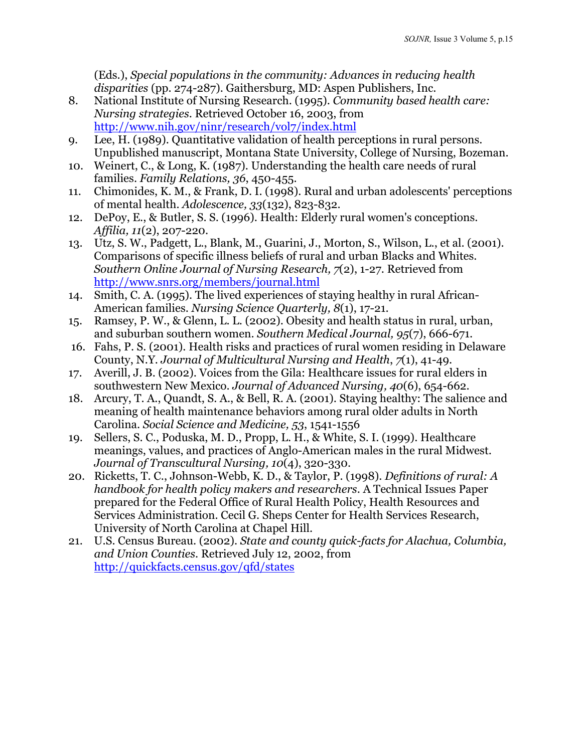(Eds.), *Special populations in the community: Advances in reducing health disparities* (pp. 274-287). Gaithersburg, MD: Aspen Publishers, Inc.

- 8. National Institute of Nursing Research. (1995). *Community based health care: Nursing strategies*. Retrieved October 16, 2003, from <http://www.nih.gov/ninr/research/vol7/index.html>
- 9. Lee, H. (1989). Quantitative validation of health perceptions in rural persons. Unpublished manuscript, Montana State University, College of Nursing, Bozeman.
- 10. Weinert, C., & Long, K. (1987). Understanding the health care needs of rural families. *Family Relations, 36*, 450-455.
- 11. Chimonides, K. M., & Frank, D. I. (1998). Rural and urban adolescents' perceptions of mental health. *Adolescence, 33*(132), 823-832.
- 12. DePoy, E., & Butler, S. S. (1996). Health: Elderly rural women's conceptions. *Affilia, 11*(2), 207-220.
- 13. Utz, S. W., Padgett, L., Blank, M., Guarini, J., Morton, S., Wilson, L., et al. (2001). Comparisons of specific illness beliefs of rural and urban Blacks and Whites. *Southern Online Journal of Nursing Research, 7*(2), 1-27. Retrieved from <http://www.snrs.org/members/journal.html>
- 14. Smith, C. A. (1995). The lived experiences of staying healthy in rural African-American families. *Nursing Science Quarterly, 8*(1), 17-21.
- 15. Ramsey, P. W., & Glenn, L. L. (2002). Obesity and health status in rural, urban, and suburban southern women. *Southern Medical Journal, 95*(7), 666-671.
- 16. Fahs, P. S. (2001). Health risks and practices of rural women residing in Delaware County, N.Y. *Journal of Multicultural Nursing and Health*, *7*(1), 41-49.
- 17. Averill, J. B. (2002). Voices from the Gila: Healthcare issues for rural elders in southwestern New Mexico. *Journal of Advanced Nursing, 40*(6), 654-662.
- 18. Arcury, T. A., Quandt, S. A., & Bell, R. A. (2001). Staying healthy: The salience and meaning of health maintenance behaviors among rural older adults in North Carolina. *Social Science and Medicine, 53*, 1541-1556
- 19. Sellers, S. C., Poduska, M. D., Propp, L. H., & White, S. I. (1999). Healthcare meanings, values, and practices of Anglo-American males in the rural Midwest. *Journal of Transcultural Nursing, 10*(4), 320-330.
- 20. Ricketts, T. C., Johnson-Webb, K. D., & Taylor, P. (1998). *Definitions of rural: A handbook for health policy makers and researchers*. A Technical Issues Paper prepared for the Federal Office of Rural Health Policy, Health Resources and Services Administration. Cecil G. Sheps Center for Health Services Research, University of North Carolina at Chapel Hill.
- 21. U.S. Census Bureau. (2002). *State and county quick-facts for Alachua, Columbia, and Union Counties*. Retrieved July 12, 2002, from <http://quickfacts.census.gov/qfd/states>